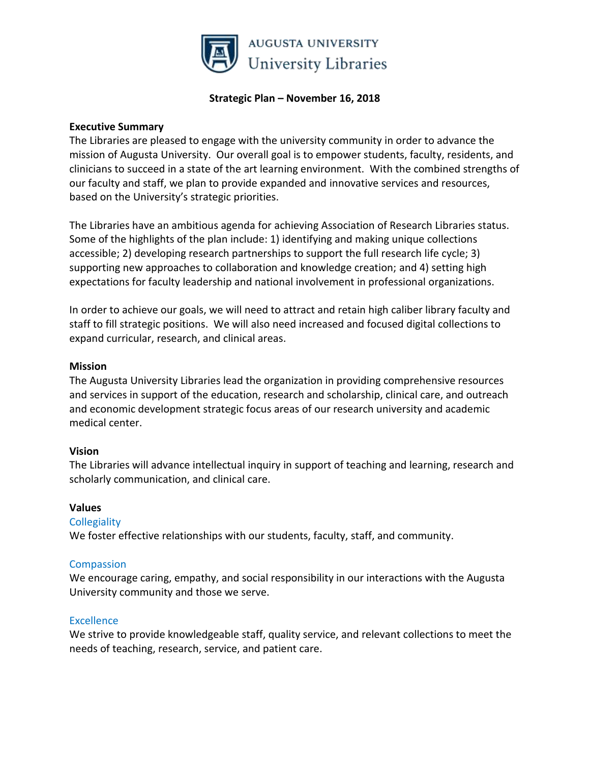

#### **Strategic Plan – November 16, 2018**

#### **Executive Summary**

The Libraries are pleased to engage with the university community in order to advance the mission of Augusta University. Our overall goal is to empower students, faculty, residents, and clinicians to succeed in a state of the art learning environment. With the combined strengths of our faculty and staff, we plan to provide expanded and innovative services and resources, based on the University's strategic priorities.

The Libraries have an ambitious agenda for achieving Association of Research Libraries status. Some of the highlights of the plan include: 1) identifying and making unique collections accessible; 2) developing research partnerships to support the full research life cycle; 3) supporting new approaches to collaboration and knowledge creation; and 4) setting high expectations for faculty leadership and national involvement in professional organizations.

In order to achieve our goals, we will need to attract and retain high caliber library faculty and staff to fill strategic positions. We will also need increased and focused digital collections to expand curricular, research, and clinical areas.

#### **Mission**

The Augusta University Libraries lead the organization in providing comprehensive resources and services in support of the education, research and scholarship, clinical care, and outreach and economic development strategic focus areas of our research university and academic medical center.

## **Vision**

The Libraries will advance intellectual inquiry in support of teaching and learning, research and scholarly communication, and clinical care.

## **Values**

## **Collegiality**

We foster effective relationships with our students, faculty, staff, and community.

#### **Compassion**

We encourage caring, empathy, and social responsibility in our interactions with the Augusta University community and those we serve.

#### Excellence

We strive to provide knowledgeable staff, quality service, and relevant collections to meet the needs of teaching, research, service, and patient care.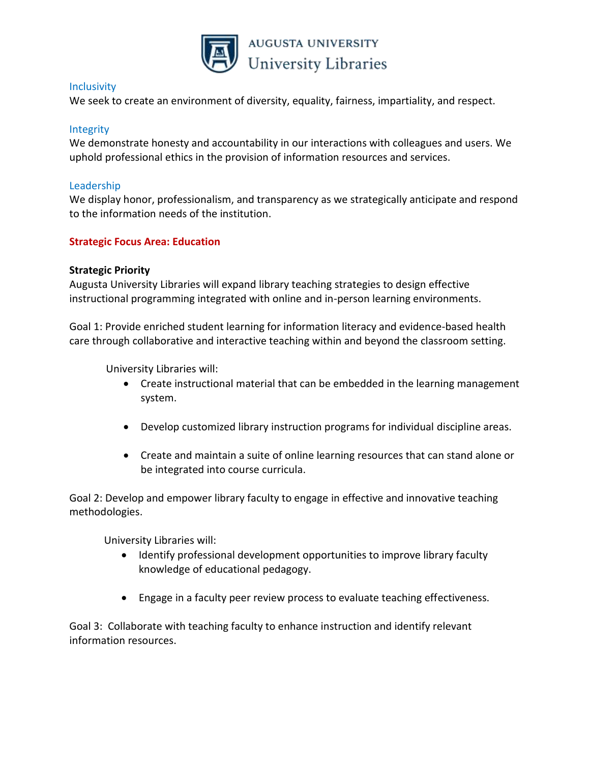

#### **Inclusivity**

We seek to create an environment of diversity, equality, fairness, impartiality, and respect.

## **Integrity**

We demonstrate honesty and accountability in our interactions with colleagues and users. We uphold professional ethics in the provision of information resources and services.

## Leadership

We display honor, professionalism, and transparency as we strategically anticipate and respond to the information needs of the institution.

## **Strategic Focus Area: Education**

## **Strategic Priority**

Augusta University Libraries will expand library teaching strategies to design effective instructional programming integrated with online and in-person learning environments.

Goal 1: Provide enriched student learning for information literacy and evidence-based health care through collaborative and interactive teaching within and beyond the classroom setting.

University Libraries will:

- Create instructional material that can be embedded in the learning management system.
- Develop customized library instruction programs for individual discipline areas.
- Create and maintain a suite of online learning resources that can stand alone or be integrated into course curricula.

Goal 2: Develop and empower library faculty to engage in effective and innovative teaching methodologies.

University Libraries will:

- Identify professional development opportunities to improve library faculty knowledge of educational pedagogy.
- Engage in a faculty peer review process to evaluate teaching effectiveness.

Goal 3: Collaborate with teaching faculty to enhance instruction and identify relevant information resources.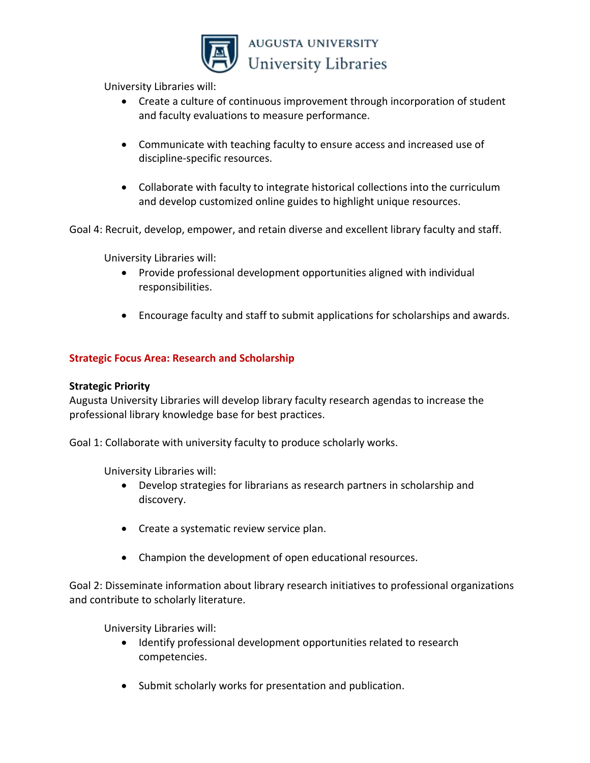

University Libraries will:

- Create a culture of continuous improvement through incorporation of student and faculty evaluations to measure performance.
- Communicate with teaching faculty to ensure access and increased use of discipline-specific resources.
- Collaborate with faculty to integrate historical collections into the curriculum and develop customized online guides to highlight unique resources.

Goal 4: Recruit, develop, empower, and retain diverse and excellent library faculty and staff.

University Libraries will:

- Provide professional development opportunities aligned with individual responsibilities.
- Encourage faculty and staff to submit applications for scholarships and awards.

# **Strategic Focus Area: Research and Scholarship**

## **Strategic Priority**

Augusta University Libraries will develop library faculty research agendas to increase the professional library knowledge base for best practices.

Goal 1: Collaborate with university faculty to produce scholarly works.

University Libraries will:

- Develop strategies for librarians as research partners in scholarship and discovery.
- Create a systematic review service plan.
- Champion the development of open educational resources.

Goal 2: Disseminate information about library research initiatives to professional organizations and contribute to scholarly literature.

University Libraries will:

- Identify professional development opportunities related to research competencies.
- Submit scholarly works for presentation and publication.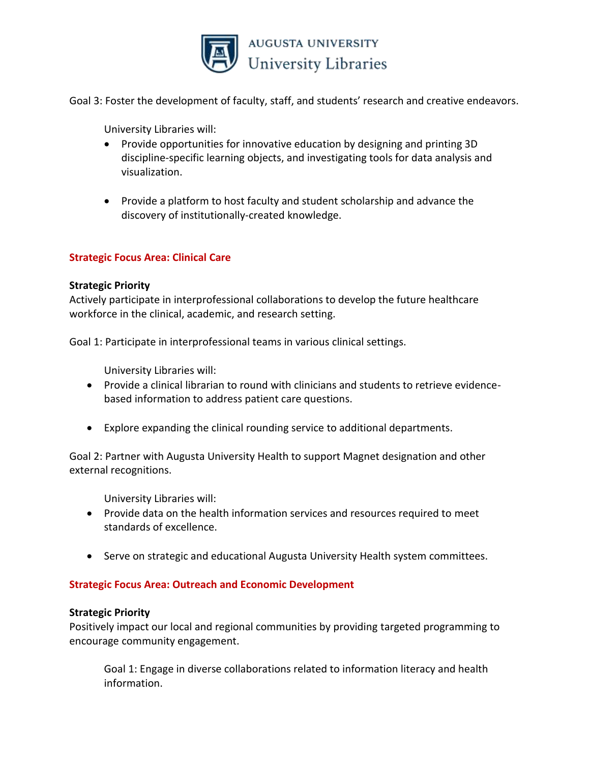

Goal 3: Foster the development of faculty, staff, and students' research and creative endeavors.

University Libraries will:

- Provide opportunities for innovative education by designing and printing 3D discipline-specific learning objects, and investigating tools for data analysis and visualization.
- Provide a platform to host faculty and student scholarship and advance the discovery of institutionally-created knowledge.

# **Strategic Focus Area: Clinical Care**

#### **Strategic Priority**

Actively participate in interprofessional collaborations to develop the future healthcare workforce in the clinical, academic, and research setting.

Goal 1: Participate in interprofessional teams in various clinical settings.

University Libraries will:

- Provide a clinical librarian to round with clinicians and students to retrieve evidencebased information to address patient care questions.
- Explore expanding the clinical rounding service to additional departments.

Goal 2: Partner with Augusta University Health to support Magnet designation and other external recognitions.

University Libraries will:

- Provide data on the health information services and resources required to meet standards of excellence.
- Serve on strategic and educational Augusta University Health system committees.

## **Strategic Focus Area: Outreach and Economic Development**

#### **Strategic Priority**

Positively impact our local and regional communities by providing targeted programming to encourage community engagement.

Goal 1: Engage in diverse collaborations related to information literacy and health information.